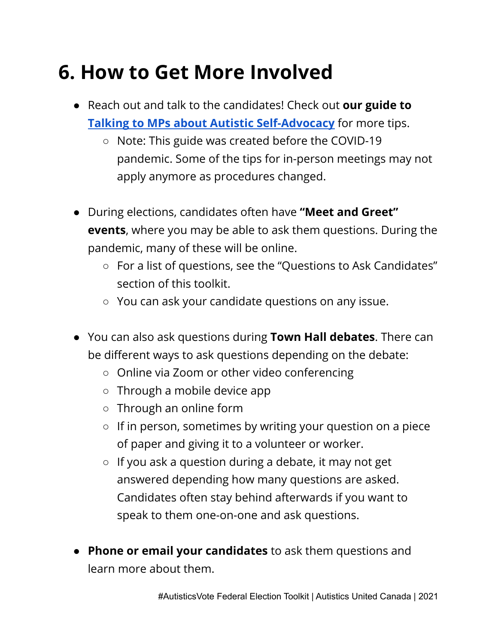## **6. How to Get More Involved**

- Reach out and talk to the candidates! Check out **our guide to Talking to MPs about Autistic [Self-Advocacy](https://www.autisticsunitedca.org/talkingtomps.html)** for more tips.
	- Note: This guide was created before the COVID-19 pandemic. Some of the tips for in-person meetings may not apply anymore as procedures changed.
- During elections, candidates often have **"Meet and Greet" events**, where you may be able to ask them questions. During the pandemic, many of these will be online.
	- For a list of questions, see the "Questions to Ask Candidates" section of this toolkit.
	- You can ask your candidate questions on any issue.
- You can also ask questions during **Town Hall debates**. There can be different ways to ask questions depending on the debate:
	- Online via Zoom or other video conferencing
	- Through a mobile device app
	- Through an online form
	- If in person, sometimes by writing your question on a piece of paper and giving it to a volunteer or worker.
	- If you ask a question during a debate, it may not get answered depending how many questions are asked. Candidates often stay behind afterwards if you want to speak to them one-on-one and ask questions.
- **Phone or email your candidates** to ask them questions and learn more about them.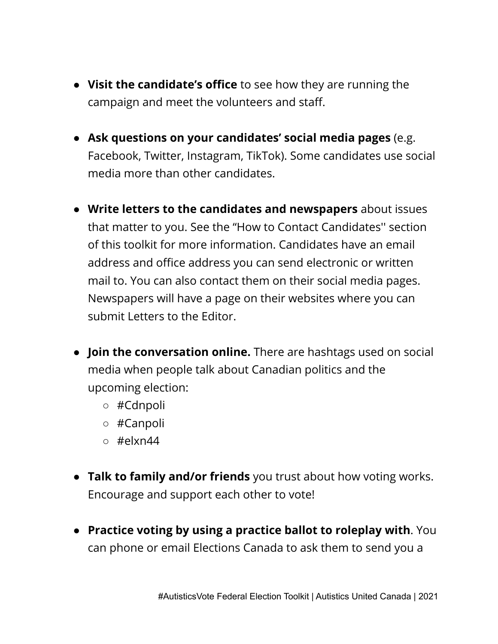- **Visit the candidate's office** to see how they are running the campaign and meet the volunteers and staff.
- **Ask questions on your candidates' social media pages** (e.g. Facebook, Twitter, Instagram, TikTok). Some candidates use social media more than other candidates.
- **Write letters to the candidates and newspapers** about issues that matter to you. See the "How to Contact Candidates'' section of this toolkit for more information. Candidates have an email address and office address you can send electronic or written mail to. You can also contact them on their social media pages. Newspapers will have a page on their websites where you can submit Letters to the Editor.
- **Join the conversation online.** There are hashtags used on social media when people talk about Canadian politics and the upcoming election:
	- #Cdnpoli
	- #Canpoli
	- $\circ$  #elxn44
- **Talk to family and/or friends** you trust about how voting works. Encourage and support each other to vote!
- **Practice voting by using a practice ballot to roleplay with**. You can phone or email Elections Canada to ask them to send you a